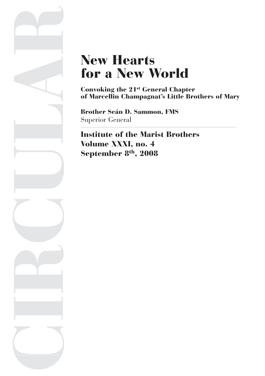# New Hearts for a New World

Convoking the 21st General Chapter of Marcellin Champagnat's Little Brothers of Mary

Brother Seán D. Sammon, FMS Superior General

CIRCULAR

Institute of the Marist Brothers Volume XXXI, no. 4 September 8<sup>th</sup>, 2008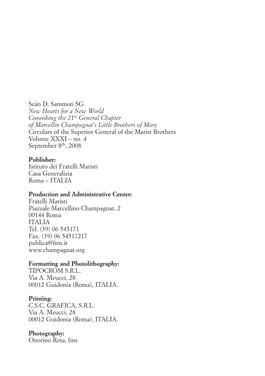Seán D. Sammon SG *New Hearts for a New World Convoking the 21st General Chapter of Marcellin Champagnat's Little Brothers of Mary* Circulars of the Superior General of the Marist Brothers Volume XXXI – no. 4 September 8<sup>th</sup>, 2008

#### **Publisher:**

Istituto dei Fratelli Maristi Casa Generalizia Roma – ITALIA

#### **Production and Administrative Center:**

Fratelli Maristi Piazzale Marcellino Champagnat, 2 00144 Roma ITALIA Tel. (39) 06 545171 Fax. (39) 06 54517217 publica@fms.it www.champagnat.org

#### **Formatting and Photolithography:**

TIPOCROM S.R.L. Via A. Meucci, 28 00012 Guidonia (Roma), ITALIA.

#### **Printing:**

C.S.C. GRAFICA, S.R.L. Via A. Meucci, 28 00012 Guidonia (Roma), ITALIA.

#### **Photography:**

Onorino Rota, fms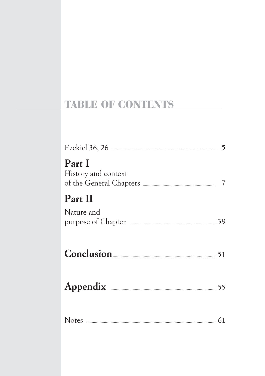# **TABLE OF CONTENTS**

| Part I<br>History and context |  |
|-------------------------------|--|
| Part II                       |  |
| Nature and                    |  |
|                               |  |
|                               |  |
|                               |  |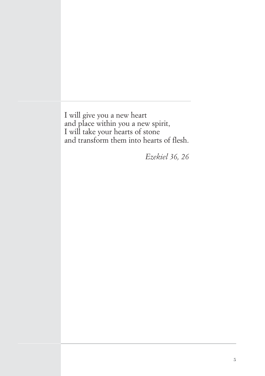I will give you a new heart and place within you a new spirit, I will take your hearts of stone and transform them into hearts of flesh.

*Ezekiel 36, 26*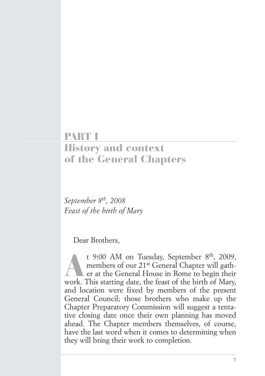# PART I

# History and context of the General Chapters

*September 8th, 2008 Feast of the birth of Mary*

Dear Brothers,

t 9:00 AM on Tuesday, September 8<sup>th</sup>, 2009, members of our 21<sup>st</sup> General Chapter will gather at the General House in Rome to begin their work. This starting date, the feast of the birth of Mary, and location were fixed by members of the present General Council; those brothers who make up the Chapter Preparatory Commission will suggest a tentative closing date once their own planning has moved ahead. The Chapter members themselves, of course, have the last word when it comes to determining when they will bring their work to completion.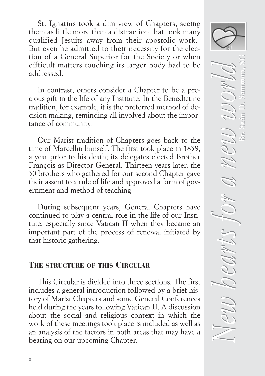St. Ignatius took a dim view of Chapters, seeing them as little more than a distraction that took many qualified Jesuits away from their apostolic work.<sup>1</sup> But even he admitted to their necessity for the election of a General Superior for the Society or when difficult matters touching its larger body had to be addressed.

In contrast, others consider a Chapter to be a precious gift in the life of any Institute. In the Benedictine tradition, for example, it is the preferred method of decision making, reminding all involved about the importance of community.

Our Marist tradition of Chapters goes back to the time of Marcellin himself. The first took place in 1839, a year prior to his death; its delegates elected Brother François as Director General. Thirteen years later, the 30 brothers who gathered for our second Chapter gave their assent to a rule of life and approved a form of government and method of teaching.

During subsequent years, General Chapters have continued to play a central role in the life of our Institute, especially since Vatican II when they became an important part of the process of renewal initiated by that historic gathering.

# THE STRUCTURE OF THIS CIRCULAR

This Circular is divided into three sections. The first includes a general introduction followed by a brief history of Marist Chapters and some General Conferences held during the years following Vatican II. A discussion about the social and religious context in which the work of these meetings took place is included as well as an analysis of the factors in both areas that may have a bearing on our upcoming Chapter.

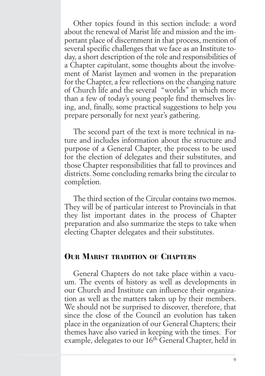Other topics found in this section include: a word about the renewal of Marist life and mission and the important place of discernment in that process, mention of several specific challenges that we face as an Institute today, a short description of the role and responsibilities of a Chapter capitulant, some thoughts about the involvement of Marist laymen and women in the preparation for the Chapter, a few reflections on the changing nature of Church life and the several "worlds" in which more than a few of today's young people find themselves living, and, finally, some practical suggestions to help you prepare personally for next year's gathering.

The second part of the text is more technical in nature and includes information about the structure and purpose of a General Chapter, the process to be used for the election of delegates and their substitutes, and those Chapter responsibilities that fall to provinces and districts. Some concluding remarks bring the circular to completion.

The third section of the Circular contains two memos. They will be of particular interest to Provincials in that they list important dates in the process of Chapter preparation and also summarize the steps to take when electing Chapter delegates and their substitutes.

### **OUR MARIST TRADITION OF CHAPTERS**

General Chapters do not take place within a vacuum. The events of history as well as developments in our Church and Institute can influence their organization as well as the matters taken up by their members. We should not be surprised to discover, therefore, that since the close of the Council an evolution has taken place in the organization of our General Chapters; their themes have also varied in keeping with the times. For example, delegates to our 16<sup>th</sup> General Chapter, held in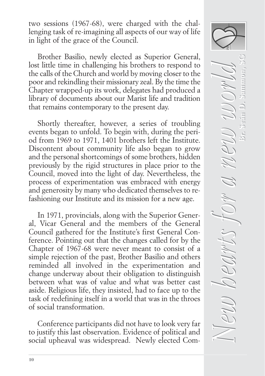two sessions (1967-68), were charged with the challenging task of re-imagining all aspects of our way of life in light of the grace of the Council.

Brother Basilio, newly elected as Superior General, lost little time in challenging his brothers to respond to the calls of the Church and world by moving closer to the poor and rekindling their missionary zeal. By the time the Chapter wrapped-up its work, delegates had produced a library of documents about our Marist life and tradition that remains contemporary to the present day.

Shortly thereafter, however, a series of troubling events began to unfold. To begin with, during the period from 1969 to 1971, 1401 brothers left the Institute. Discontent about community life also began to grow and the personal shortcomings of some brothers, hidden previously by the rigid structures in place prior to the Council, moved into the light of day. Nevertheless, the process of experimentation was embraced with energy and generosity by many who dedicated themselves to refashioning our Institute and its mission for a new age.

In 1971, provincials, along with the Superior General, Vicar General and the members of the General Council gathered for the Institute's first General Conference. Pointing out that the changes called for by the Chapter of 1967-68 were never meant to consist of a simple rejection of the past, Brother Basilio and others reminded all involved in the experimentation and change underway about their obligation to distinguish between what was of value and what was better cast aside. Religious life, they insisted, had to face up to the task of redefining itself in a world that was in the throes of social transformation.

Conference participants did not have to look very far to justify this last observation. Evidence of political and social upheaval was widespread. Newly elected Com-

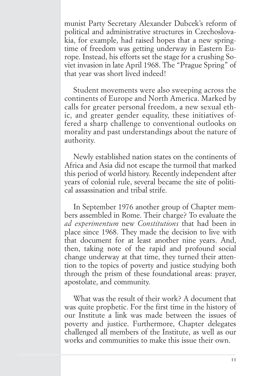munist Party Secretary Alexander Dubcek's reform of political and administrative structures in Czechoslovakia, for example, had raised hopes that a new springtime of freedom was getting underway in Eastern Europe. Instead, his efforts set the stage for a crushing Soviet invasion in late April 1968. The "Prague Spring" of that year was short lived indeed!

Student movements were also sweeping across the continents of Europe and North America. Marked by calls for greater personal freedom, a new sexual ethic, and greater gender equality, these initiatives offered a sharp challenge to conventional outlooks on morality and past understandings about the nature of authority.

Newly established nation states on the continents of Africa and Asia did not escape the turmoil that marked this period of world history. Recently independent after years of colonial rule, several became the site of political assassination and tribal strife.

In September 1976 another group of Chapter members assembled in Rome. Their charge? To evaluate the *ad experimentum* new *Constitutions* that had been in place since 1968. They made the decision to live with that document for at least another nine years. And, then, taking note of the rapid and profound social change underway at that time, they turned their attention to the topics of poverty and justice studying both through the prism of these foundational areas: prayer, apostolate, and community.

What was the result of their work? A document that was quite prophetic. For the first time in the history of our Institute a link was made between the issues of poverty and justice. Furthermore, Chapter delegates challenged all members of the Institute, as well as our works and communities to make this issue their own.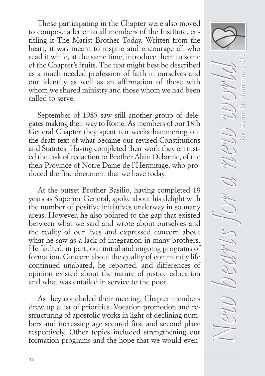Those participating in the Chapter were also moved to compose a letter to all members of the Institute, entitling it The Marist Brother Today. Written from the heart, it was meant to inspire and encourage all who read it while, at the same time, introduce them to some of the Chapter's fruits. The text might best be described as a much needed profession of faith in ourselves and our identity as well as an affirmation of those with whom we shared ministry and those whom we had been called to serve.

September of 1985 saw still another group of delegates making their way to Rome. As members of our 18th General Chapter they spent ten weeks hammering out the draft text of what became our revised Constitutions and Statutes. Having completed their work they entrusted the task of redaction to Brother Alain Delorme, of the then-Province of Notre Dame de l'Hermitage, who produced the fine document that we have today.

At the outset Brother Basilio, having completed 18 years as Superior General, spoke about his delight with the number of positive initiatives underway in so many areas. However, he also pointed to the gap that existed between what we said and wrote about ourselves and the reality of our lives and expressed concern about what he saw as a lack of integration in many brothers. He faulted, in part, our initial and ongoing programs of formation. Concern about the quality of community life continued unabated, he reported, and differences of opinion existed about the nature of justice education and what was entailed in service to the poor.

As they concluded their meeting, Chapter members drew up a list of priorities. Vocation promotion and restructuring of apostolic works in light of declining numbers and increasing age secured first and second place respectively. Other topics included strengthening our formation programs and the hope that we would even-

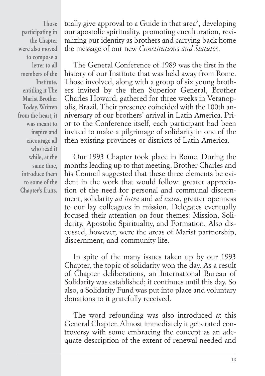**Those participating in the Chapter were also moved to compose a letter to all members of the Institute, entitling it The Marist Brother Today. Written from the heart, it was meant to inspire and encourage all who read it while, at the same time, introduce them to some of the Chapter's fruits.**

tually give approval to a Guide in that  $area<sup>2</sup>$ , developing our apostolic spirituality, promoting enculturation, revitalizing our identity as brothers and carrying back home the message of our new *Constitutions and Statutes*.

The General Conference of 1989 was the first in the history of our Institute that was held away from Rome. Those involved, along with a group of six young brothers invited by the then Superior General, Brother Charles Howard, gathered for three weeks in Veranopolis, Brazil. Their presence coincided with the 100th anniversary of our brothers' arrival in Latin America. Prior to the Conference itself, each participant had been invited to make a pilgrimage of solidarity in one of the then existing provinces or districts of Latin America.

Our 1993 Chapter took place in Rome. During the months leading up to that meeting, Brother Charles and his Council suggested that these three elements be evident in the work that would follow: greater appreciation of the need for personal and communal discernment, solidarity *ad intra* and *ad extra*, greater openness to our lay colleagues in mission. Delegates eventually focused their attention on four themes: Mission, Solidarity, Apostolic Spirituality, and Formation. Also discussed, however, were the areas of Marist partnership, discernment, and community life.

In spite of the many issues taken up by our 1993 Chapter, the topic of solidarity won the day. As a result of Chapter deliberations, an International Bureau of Solidarity was established; it continues until this day. So also, a Solidarity Fund was put into place and voluntary donations to it gratefully received.

The word refounding was also introduced at this General Chapter. Almost immediately it generated controversy with some embracing the concept as an adequate description of the extent of renewal needed and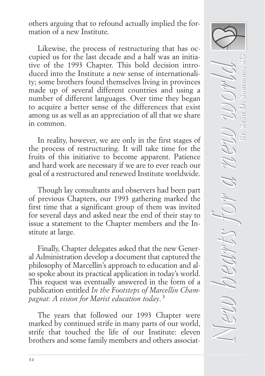others arguing that to refound actually implied the formation of a new Institute.

Likewise, the process of restructuring that has occupied us for the last decade and a half was an initiative of the 1993 Chapter. This bold decision introduced into the Institute a new sense of internationality; some brothers found themselves living in provinces made up of several different countries and using a number of different languages. Over time they began to acquire a better sense of the differences that exist among us as well as an appreciation of all that we share in common.

In reality, however, we are only in the first stages of the process of restructuring. It will take time for the fruits of this initiative to become apparent. Patience and hard work are necessary if we are to ever reach our goal of a restructured and renewed Institute worldwide.

Though lay consultants and observers had been part of previous Chapters, our 1993 gathering marked the first time that a significant group of them was invited for several days and asked near the end of their stay to issue a statement to the Chapter members and the Institute at large.

Finally, Chapter delegates asked that the new General Administration develop a document that captured the philosophy of Marcellin's approach to education and also spoke about its practical application in today's world. This request was eventually answered in the form of a publication entitled *In the Footsteps of Marcellin Champagnat: A vision for Marist education today*. <sup>3</sup>

The years that followed our 1993 Chapter were marked by continued strife in many parts of our world, strife that touched the life of our Institute: eleven brothers and some family members and others associat-

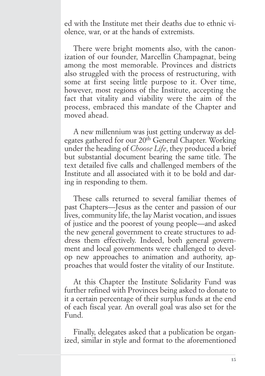ed with the Institute met their deaths due to ethnic violence, war, or at the hands of extremists.

There were bright moments also, with the canonization of our founder, Marcellin Champagnat, being among the most memorable. Provinces and districts also struggled with the process of restructuring, with some at first seeing little purpose to it. Over time, however, most regions of the Institute, accepting the fact that vitality and viability were the aim of the process, embraced this mandate of the Chapter and moved ahead.

A new millennium was just getting underway as delegates gathered for our 20th General Chapter. Working under the heading of *Choose Life*, they produced a brief but substantial document bearing the same title. The text detailed five calls and challenged members of the Institute and all associated with it to be bold and daring in responding to them.

These calls returned to several familiar themes of past Chapters—Jesus as the center and passion of our lives, community life, the lay Marist vocation, and issues of justice and the poorest of young people—and asked the new general government to create structures to address them effectively. Indeed, both general government and local governments were challenged to develop new approaches to animation and authority, approaches that would foster the vitality of our Institute.

At this Chapter the Institute Solidarity Fund was further refined with Provinces being asked to donate to it a certain percentage of their surplus funds at the end of each fiscal year. An overall goal was also set for the Fund.

Finally, delegates asked that a publication be organized, similar in style and format to the aforementioned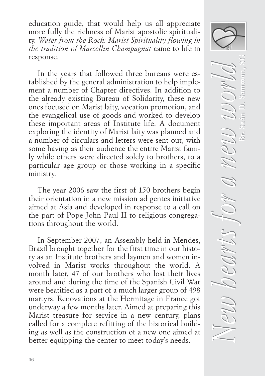education guide, that would help us all appreciate more fully the richness of Marist apostolic spirituality. *Water from the Rock: Marist Spirituality flowing in the tradition of Marcellin Champagnat* came to life in response.

In the years that followed three bureaus were established by the general administration to help implement a number of Chapter directives. In addition to the already existing Bureau of Solidarity, these new ones focused on Marist laity, vocation promotion, and the evangelical use of goods and worked to develop these important areas of Institute life. A document exploring the identity of Marist laity was planned and a number of circulars and letters were sent out, with some having as their audience the entire Marist family while others were directed solely to brothers, to a particular age group or those working in a specific ministry.

The year 2006 saw the first of 150 brothers begin their orientation in a new mission ad gentes initiative aimed at Asia and developed in response to a call on the part of Pope John Paul II to religious congregations throughout the world.

In September 2007, an Assembly held in Mendes, Brazil brought together for the first time in our history as an Institute brothers and laymen and women involved in Marist works throughout the world. A month later, 47 of our brothers who lost their lives around and during the time of the Spanish Civil War were beatified as a part of a much larger group of 498 martyrs. Renovations at the Hermitage in France got underway a few months later. Aimed at preparing this Marist treasure for service in a new century, plans called for a complete refitting of the historical building as well as the construction of a new one aimed at better equipping the center to meet today's needs.

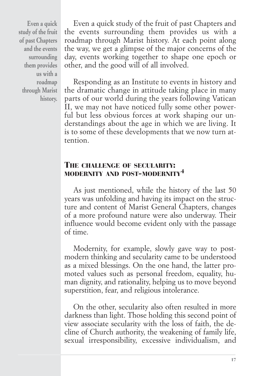**Even a quick study of the fruit of past Chapters and the events surrounding them provides us with a roadmap through Marist history.**

Even a quick study of the fruit of past Chapters and the events surrounding them provides us with a roadmap through Marist history. At each point along the way, we get a glimpse of the major concerns of the day, events working together to shape one epoch or other, and the good will of all involved.

Responding as an Institute to events in history and the dramatic change in attitude taking place in many parts of our world during the years following Vatican II, we may not have noticed fully some other powerful but less obvious forces at work shaping our understandings about the age in which we are living. It is to some of these developments that we now turn attention.

## THE CHALLENGE OF SECULARITY: MODERNITY AND POST-MODERNITY<sup>4</sup>

As just mentioned, while the history of the last 50 years was unfolding and having its impact on the structure and content of Marist General Chapters, changes of a more profound nature were also underway. Their influence would become evident only with the passage of time.

Modernity, for example, slowly gave way to postmodern thinking and secularity came to be understood as a mixed blessings. On the one hand, the latter promoted values such as personal freedom, equality, human dignity, and rationality, helping us to move beyond superstition, fear, and religious intolerance.

On the other, secularity also often resulted in more darkness than light. Those holding this second point of view associate secularity with the loss of faith, the decline of Church authority, the weakening of family life, sexual irresponsibility, excessive individualism, and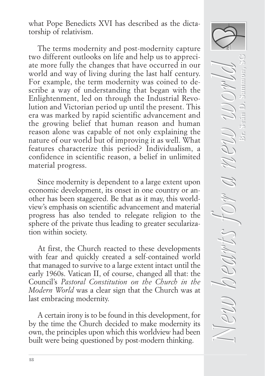what Pope Benedicts XVI has described as the dictatorship of relativism.

The terms modernity and post-modernity capture two different outlooks on life and help us to appreciate more fully the changes that have occurred in our world and way of living during the last half century. For example, the term modernity was coined to describe a way of understanding that began with the Enlightenment, led on through the Industrial Revolution and Victorian period up until the present. This era was marked by rapid scientific advancement and the growing belief that human reason and human reason alone was capable of not only explaining the nature of our world but of improving it as well. What features characterize this period? Individualism, a confidence in scientific reason, a belief in unlimited material progress.

Since modernity is dependent to a large extent upon economic development, its onset in one country or another has been staggered. Be that as it may, this worldview's emphasis on scientific advancement and material progress has also tended to relegate religion to the sphere of the private thus leading to greater secularization within society.

At first, the Church reacted to these developments with fear and quickly created a self-contained world that managed to survive to a large extent intact until the early 1960s. Vatican II, of course, changed all that: the Council's *Pastoral Constitution on the Church in the Modern World* was a clear sign that the Church was at last embracing modernity.

A certain irony is to be found in this development, for by the time the Church decided to make modernity its own, the principles upon which this worldview had been built were being questioned by post-modern thinking.

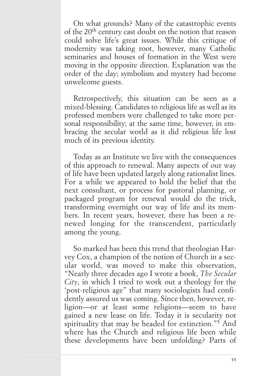On what grounds? Many of the catastrophic events of the 20th century cast doubt on the notion that reason could solve life's great issues. While this critique of modernity was taking root, however, many Catholic seminaries and houses of formation in the West were moving in the opposite direction. Explanation was the order of the day; symbolism and mystery had become unwelcome guests.

Retrospectively, this situation can be seen as a mixed-blessing. Candidates to religious life as well as its professed members were challenged to take more personal responsibility; at the same time, however, in embracing the secular world as it did religious life lost much of its previous identity.

Today as an Institute we live with the consequences of this approach to renewal. Many aspects of our way of life have been updated largely along rationalist lines. For a while we appeared to hold the belief that the next consultant, or process for pastoral planning, or packaged program for renewal would do the trick, transforming overnight our way of life and its members. In recent years, however, there has been a renewed longing for the transcendent, particularly among the young.

So marked has been this trend that theologian Harvey Cox, a champion of the notion of Church in a secular world, was moved to make this observation, "Nearly three decades ago I wrote a book, *The Secular City*, in which I tried to work out a theology for the 'post-religious age" that many sociologists had confidently assured us was coming. Since then, however, religion—or at least some religions—seem to have gained a new lease on life. Today it is secularity not spirituality that may be headed for extinction."<sup>5</sup> And where has the Church and religious life been while these developments have been unfolding? Parts of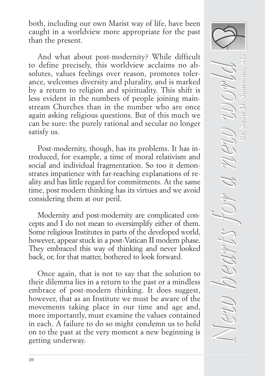both, including our own Marist way of life, have been caught in a worldview more appropriate for the past than the present.

And what about post-modernity? While difficult to define precisely, this worldview acclaims no absolutes, values feelings over reason, promotes tolerance, welcomes diversity and plurality, and is marked by a return to religion and spirituality. This shift is less evident in the numbers of people joining mainstream Churches than in the number who are once again asking religious questions. But of this much we can be sure: the purely rational and secular no longer satisfy us.

Post-modernity, though, has its problems. It has introduced, for example, a time of moral relativism and social and individual fragmentation. So too it demonstrates impatience with far-reaching explanations of reality and has little regard for commitments. At the same time, post modern thinking has its virtues and we avoid considering them at our peril.

Modernity and post-modernity are complicated concepts and I do not mean to oversimplify either of them. Some religious Institutes in parts of the developed world, however, appear stuck in a post-Vatican II modern phase. They embraced this way of thinking and never looked back, or, for that matter, bothered to look forward.

Once again, that is not to say that the solution to their dilemma lies in a return to the past or a mindless embrace of post-modern thinking. It does suggest, however, that as an Institute we must be aware of the movements taking place in our time and age and, more importantly, must examine the values contained in each. A failure to do so might condemn us to hold on to the past at the very moment a new beginning is getting underway.

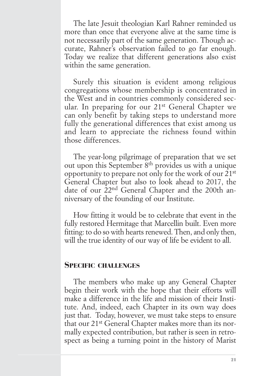The late Jesuit theologian Karl Rahner reminded us more than once that everyone alive at the same time is not necessarily part of the same generation. Though accurate, Rahner's observation failed to go far enough. Today we realize that different generations also exist within the same generation.

Surely this situation is evident among religious congregations whose membership is concentrated in the West and in countries commonly considered secular. In preparing for our 21st General Chapter we can only benefit by taking steps to understand more fully the generational differences that exist among us and learn to appreciate the richness found within those differences.

The year-long pilgrimage of preparation that we set out upon this September 8<sup>th</sup> provides us with a unique opportunity to prepare not only for the work of our 21st General Chapter but also to look ahead to 2017, the date of our 22nd General Chapter and the 200th anniversary of the founding of our Institute.

How fitting it would be to celebrate that event in the fully restored Hermitage that Marcellin built. Even more fitting: to do so with hearts renewed. Then, and only then, will the true identity of our way of life be evident to all.

#### SPECIFIC CHALLENGES

The members who make up any General Chapter begin their work with the hope that their efforts will make a difference in the life and mission of their Institute. And, indeed, each Chapter in its own way does just that. Today, however, we must take steps to ensure that our 21st General Chapter makes more than its normally expected contribution, but rather is seen in retrospect as being a turning point in the history of Marist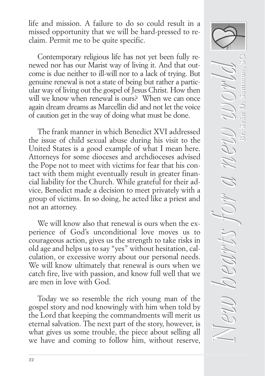life and mission. A failure to do so could result in a missed opportunity that we will be hard-pressed to reclaim. Permit me to be quite specific.

Contemporary religious life has not yet been fully renewed nor has our Marist way of living it. And that outcome is due neither to ill-will nor to a lack of trying. But genuine renewal is not a state of being but rather a particular way of living out the gospel of Jesus Christ. How then will we know when renewal is ours? When we can once again dream dreams as Marcellin did and not let the voice of caution get in the way of doing what must be done.

The frank manner in which Benedict XVI addressed the issue of child sexual abuse during his visit to the United States is a good example of what I mean here. Attorneys for some dioceses and archdioceses advised the Pope not to meet with victims for fear that his contact with them might eventually result in greater financial liability for the Church. While grateful for their advice, Benedict made a decision to meet privately with a group of victims. In so doing, he acted like a priest and not an attorney.

We will know also that renewal is ours when the experience of God's unconditional love moves us to courageous action, gives us the strength to take risks in old age and helps us to say "yes" without hesitation, calculation, or excessive worry about our personal needs. We will know ultimately that renewal is ours when we catch fire, live with passion, and know full well that we are men in love with God.

Today we so resemble the rich young man of the gospel story and nod knowingly with him when told by the Lord that keeping the commandments will merit us eternal salvation. The next part of the story, however, is what gives us some trouble, the piece about selling all we have and coming to follow him, without reserve,

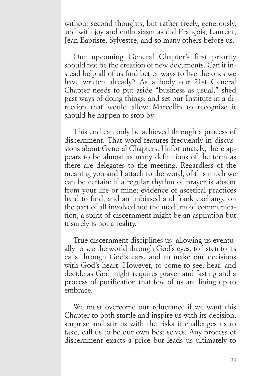without second thoughts, but rather freely, generously, and with joy and enthusiasm as did François, Laurent, Jean Baptiste, Sylvestre, and so many others before us.

Our upcoming General Chapter's first priority should not be the creation of new documents. Can it instead help all of us find better ways to live the ones we have written already? As a body our 21st General Chapter needs to put aside "business as usual," shed past ways of doing things, and set our Institute in a direction that would allow Marcellin to recognize it should he happen to stop by.

This end can only be achieved through a process of discernment. That word features frequently in discussions about General Chapters. Unfortunately, there appears to be almost as many definitions of the term as there are delegates to the meeting. Regardless of the meaning you and I attach to the word, of this much we can be certain: if a regular rhythm of prayer is absent from your life or mine; evidence of ascetical practices hard to find, and an unbiased and frank exchange on the part of all involved not the medium of communication, a spirit of discernment might be an aspiration but it surely is not a reality.

True discernment disciplines us, allowing us eventually to see the world through God's eyes, to listen to its calls through God's ears, and to make our decisions with God's heart. However, to come to see, hear, and decide as God might requires prayer and fasting and a process of purification that few of us are lining up to embrace.

We must overcome our reluctance if we want this Chapter to both startle and inspire us with its decision, surprise and stir us with the risks it challenges us to take, call us to be our own best selves. Any process of discernment exacts a price but leads us ultimately to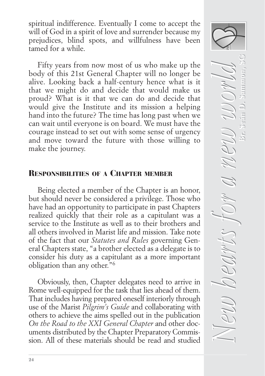spiritual indifference. Eventually I come to accept the will of God in a spirit of love and surrender because my prejudices, blind spots, and willfulness have been tamed for a while.

Fifty years from now most of us who make up the body of this 21st General Chapter will no longer be alive. Looking back a half-century hence what is it that we might do and decide that would make us proud? What is it that we can do and decide that would give the Institute and its mission a helping hand into the future? The time has long past when we can wait until everyone is on board. We must have the courage instead to set out with some sense of urgency and move toward the future with those willing to make the journey.

# RESPONSIBILITIES OF A CHAPTER MEMBER

Being elected a member of the Chapter is an honor, but should never be considered a privilege. Those who have had an opportunity to participate in past Chapters realized quickly that their role as a capitulant was a service to the Institute as well as to their brothers and all others involved in Marist life and mission. Take note of the fact that our *Statutes and Rules* governing General Chapters state, "a brother elected as a delegate is to consider his duty as a capitulant as a more important obligation than any other."6

Obviously, then, Chapter delegates need to arrive in Rome well-equipped for the task that lies ahead of them. That includes having prepared oneself interiorly through use of the Marist *Pilgrim's Guide* and collaborating with others to achieve the aims spelled out in the publication *On the Road to the XXI General Chapter* and other documents distributed by the Chapter Preparatory Commission. All of these materials should be read and studied

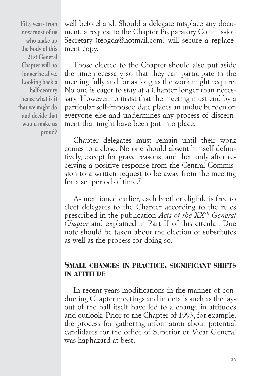**Fifty years from now most of us who make up the body of this 21st General Chapter will no longer be alive. Looking back a half-century hence what is it that we might do and decide that would make us proud?**

well beforehand. Should a delegate misplace any document, a request to the Chapter Preparatory Commission Secretary (teogda@hotmail.com) will secure a replacement copy.

Those elected to the Chapter should also put aside the time necessary so that they can participate in the meeting fully and for as long as the work might require. No one is eager to stay at a Chapter longer than necessary. However, to insist that the meeting must end by a particular self-imposed date places an undue burden on everyone else and undermines any process of discernment that might have been put into place.

Chapter delegates must remain until their work comes to a close. No one should absent himself definitively, except for grave reasons, and then only after receiving a positive response from the Central Commission to a written request to be away from the meeting for a set period of time.7

As mentioned earlier, each brother eligible is free to elect delegates to the Chapter according to the rules prescribed in the publication *Acts of the XXth General Chapter* and explained in Part II of this circular. Due note should be taken about the election of substitutes as well as the process for doing so.

# SMALL CHANGES IN PRACTICE, SIGNIFICANT SHIFTS IN ATTITUDE

In recent years modifications in the manner of conducting Chapter meetings and in details such as the layout of the hall itself have led to a change in attitudes and outlook. Prior to the Chapter of 1993, for example, the process for gathering information about potential candidates for the office of Superior or Vicar General was haphazard at best.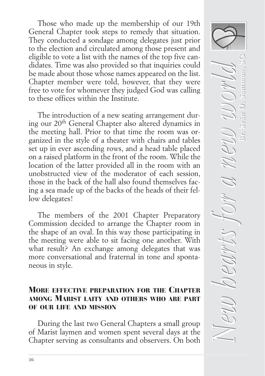Those who made up the membership of our 19th General Chapter took steps to remedy that situation. They conducted a sondage among delegates just prior to the election and circulated among those present and eligible to vote a list with the names of the top five candidates. Time was also provided so that inquiries could be made about those whose names appeared on the list. Chapter member were told, however, that they were free to vote for whomever they judged God was calling to these offices within the Institute.

The introduction of a new seating arrangement during our 20th General Chapter also altered dynamics in the meeting hall. Prior to that time the room was organized in the style of a theater with chairs and tables set up in ever ascending rows, and a head table placed on a raised platform in the front of the room. While the location of the latter provided all in the room with an unobstructed view of the moderator of each session, those in the back of the hall also found themselves facing a sea made up of the backs of the heads of their fellow delegates!

The members of the 2001 Chapter Preparatory Commission decided to arrange the Chapter room in the shape of an oval. In this way those participating in the meeting were able to sit facing one another. With what result? An exchange among delegates that was more conversational and fraternal in tone and spontaneous in style.

## MORE EFFECTIVE PREPARATION FOR THE CHAPTER AMONG MARIST LAITY AND OTHERS WHO ARE PART OF OUR LIFE AND MISSION

During the last two General Chapters a small group of Marist laymen and women spent several days at the Chapter serving as consultants and observers. On both

 $N$ eu hearts for a new world *New hearts for a new world* **Br. Seán D. Sammon, SG**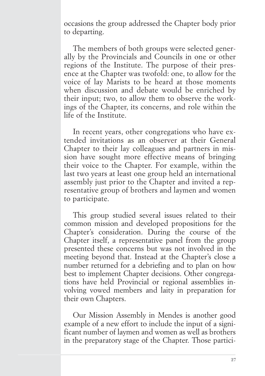occasions the group addressed the Chapter body prior to departing.

The members of both groups were selected generally by the Provincials and Councils in one or other regions of the Institute. The purpose of their presence at the Chapter was twofold: one, to allow for the voice of lay Marists to be heard at those moments when discussion and debate would be enriched by their input; two, to allow them to observe the workings of the Chapter, its concerns, and role within the life of the Institute.

In recent years, other congregations who have extended invitations as an observer at their General Chapter to their lay colleagues and partners in mission have sought more effective means of bringing their voice to the Chapter. For example, within the last two years at least one group held an international assembly just prior to the Chapter and invited a representative group of brothers and laymen and women to participate.

This group studied several issues related to their common mission and developed propositions for the Chapter's consideration. During the course of the Chapter itself, a representative panel from the group presented these concerns but was not involved in the meeting beyond that. Instead at the Chapter's close a number returned for a debriefing and to plan on how best to implement Chapter decisions. Other congregations have held Provincial or regional assemblies involving vowed members and laity in preparation for their own Chapters.

Our Mission Assembly in Mendes is another good example of a new effort to include the input of a significant number of laymen and women as well as brothers in the preparatory stage of the Chapter. Those partici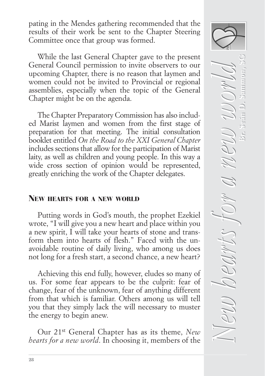pating in the Mendes gathering recommended that the results of their work be sent to the Chapter Steering Committee once that group was formed.

While the last General Chapter gave to the present General Council permission to invite observers to our upcoming Chapter, there is no reason that laymen and women could not be invited to Provincial or regional assemblies, especially when the topic of the General Chapter might be on the agenda.

The Chapter Preparatory Commission has also included Marist laymen and women from the first stage of preparation for that meeting. The initial consultation booklet entitled *On the Road to the XXI General Chapter* includes sections that allow for the participation of Marist laity, as well as children and young people. In this way a wide cross section of opinion would be represented, greatly enriching the work of the Chapter delegates.

# NEW HEARTS FOR A NEW WORLD

Putting words in God's mouth, the prophet Ezekiel wrote, "I will give you a new heart and place within you a new spirit, I will take your hearts of stone and transform them into hearts of flesh." Faced with the unavoidable routine of daily living, who among us does not long for a fresh start, a second chance, a new heart?

Achieving this end fully, however, eludes so many of us. For some fear appears to be the culprit: fear of change, fear of the unknown, fear of anything different from that which is familiar. Others among us will tell you that they simply lack the will necessary to muster the energy to begin anew.

Our 21st General Chapter has as its theme, *New hearts for a new world*. In choosing it, members of the

 $N$ eu hearts for a new world *New hearts for a new world* **Br. Seán D. Sammon, SG** $\frac{1}{2}$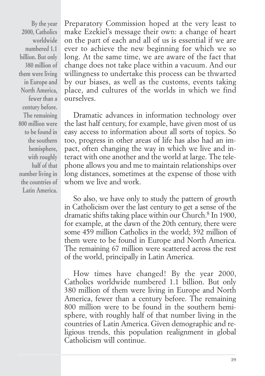**By the year 2000, Catholics worldwide numbered 1.1 billion. But only 380 million of them were living in Europe and North America, fewer than a century before. The remaining 800 million were to be found in the southern hemisphere, with roughly half of that number living in the countries of Latin America.**

Preparatory Commission hoped at the very least to make Ezekiel's message their own: a change of heart on the part of each and all of us is essential if we are ever to achieve the new beginning for which we so long. At the same time, we are aware of the fact that change does not take place within a vacuum. And our willingness to undertake this process can be thwarted by our biases, as well as the customs, events taking place, and cultures of the worlds in which we find ourselves.

Dramatic advances in information technology over the last half century, for example, have given most of us easy access to information about all sorts of topics. So too, progress in other areas of life has also had an impact, often changing the way in which we live and interact with one another and the world at large. The telephone allows you and me to maintain relationships over long distances, sometimes at the expense of those with whom we live and work.

So also, we have only to study the pattern of growth in Catholicism over the last century to get a sense of the dramatic shifts taking place within our Church.8 In 1900, for example, at the dawn of the 20th century, there were some 459 million Catholics in the world; 392 million of them were to be found in Europe and North America. The remaining 67 million were scattered across the rest of the world, principally in Latin America.

How times have changed! By the year 2000, Catholics worldwide numbered 1.1 billion. But only 380 million of them were living in Europe and North America, fewer than a century before. The remaining 800 million were to be found in the southern hemisphere, with roughly half of that number living in the countries of Latin America. Given demographic and religious trends, this population realignment in global Catholicism will continue.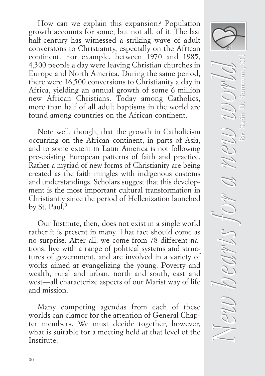How can we explain this expansion? Population growth accounts for some, but not all, of it. The last half-century has witnessed a striking wave of adult conversions to Christianity, especially on the African continent. For example, between 1970 and 1985, 4,300 people a day were leaving Christian churches in Europe and North America. During the same period, there were 16,500 conversions to Christianity a day in Africa, yielding an annual growth of some 6 million new African Christians. Today among Catholics, more than half of all adult baptisms in the world are found among countries on the African continent.

Note well, though, that the growth in Catholicism occurring on the African continent, in parts of Asia, and to some extent in Latin America is not following pre-existing European patterns of faith and practice. Rather a myriad of new forms of Christianity are being created as the faith mingles with indigenous customs and understandings. Scholars suggest that this development is the most important cultural transformation in Christianity since the period of Hellenization launched by St. Paul.<sup>9</sup>

Our Institute, then, does not exist in a single world rather it is present in many. That fact should come as no surprise. After all, we come from 78 different nations, live with a range of political systems and structures of government, and are involved in a variety of works aimed at evangelizing the young. Poverty and wealth, rural and urban, north and south, east and west—all characterize aspects of our Marist way of life and mission.

Many competing agendas from each of these worlds can clamor for the attention of General Chapter members. We must decide together, however, what is suitable for a meeting held at that level of the Institute.

 $N$ eu hearts for a new world *New hearts for a new world* **Br. Seán D. Sammon, SG**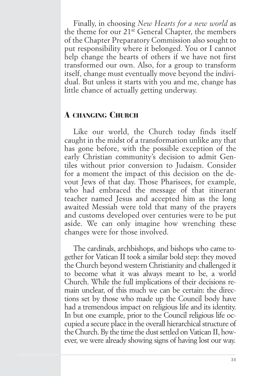Finally, in choosing *New Hearts for a new world* as the theme for our 21st General Chapter, the members of the Chapter Preparatory Commission also sought to put responsibility where it belonged. You or I cannot help change the hearts of others if we have not first transformed our own. Also, for a group to transform itself, change must eventually move beyond the individual. But unless it starts with you and me, change has little chance of actually getting underway.

# A CHANGING CHURCH

Like our world, the Church today finds itself caught in the midst of a transformation unlike any that has gone before, with the possible exception of the early Christian community's decision to admit Gentiles without prior conversion to Judaism. Consider for a moment the impact of this decision on the devout Jews of that day. Those Pharisees, for example, who had embraced the message of that itinerant teacher named Jesus and accepted him as the long awaited Messiah were told that many of the prayers and customs developed over centuries were to be put aside. We can only imagine how wrenching these changes were for those involved.

The cardinals, archbishops, and bishops who came together for Vatican II took a similar bold step: they moved the Church beyond western Christianity and challenged it to become what it was always meant to be, a world Church. While the full implications of their decisions remain unclear, of this much we can be certain: the directions set by those who made up the Council body have had a tremendous impact on religious life and its identity. In but one example, prior to the Council religious life occupied a secure place in the overall hierarchical structure of the Church. By the time the dust settled on Vatican II, however, we were already showing signs of having lost our way.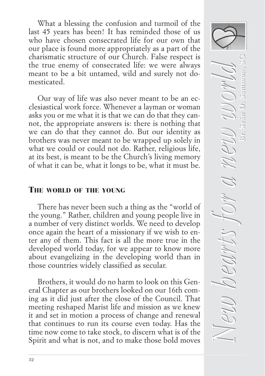What a blessing the confusion and turmoil of the last 45 years has been! It has reminded those of us who have chosen consecrated life for our own that our place is found more appropriately as a part of the charismatic structure of our Church. False respect is the true enemy of consecrated life: we were always meant to be a bit untamed, wild and surely not domesticated.

Our way of life was also never meant to be an ecclesiastical work force. Whenever a layman or woman asks you or me what it is that we can do that they cannot, the appropriate answers is: there is nothing that we can do that they cannot do. But our identity as brothers was never meant to be wrapped up solely in what we could or could not do. Rather, religious life, at its best, is meant to be the Church's living memory of what it can be, what it longs to be, what it must be.

### THE WORLD OF THE YOUNG

There has never been such a thing as the "world of the young." Rather, children and young people live in a number of very distinct worlds. We need to develop once again the heart of a missionary if we wish to enter any of them. This fact is all the more true in the developed world today, for we appear to know more about evangelizing in the developing world than in those countries widely classified as secular.

Brothers, it would do no harm to look on this General Chapter as our brothers looked on our 16th coming as it did just after the close of the Council. That meeting reshaped Marist life and mission as we knew it and set in motion a process of change and renewal that continues to run its course even today. Has the time now come to take stock, to discern what is of the Spirit and what is not, and to make those bold moves

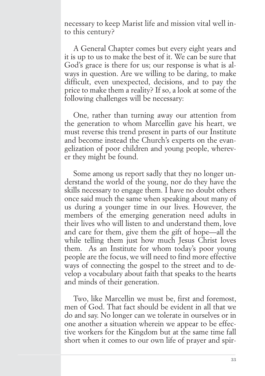necessary to keep Marist life and mission vital well into this century?

A General Chapter comes but every eight years and it is up to us to make the best of it. We can be sure that God's grace is there for us; our response is what is always in question. Are we willing to be daring, to make difficult, even unexpected, decisions, and to pay the price to make them a reality? If so, a look at some of the following challenges will be necessary:

One, rather than turning away our attention from the generation to whom Marcellin gave his heart, we must reverse this trend present in parts of our Institute and become instead the Church's experts on the evangelization of poor children and young people, wherever they might be found.

Some among us report sadly that they no longer understand the world of the young, nor do they have the skills necessary to engage them. I have no doubt others once said much the same when speaking about many of us during a younger time in our lives. However, the members of the emerging generation need adults in their lives who will listen to and understand them, love and care for them, give them the gift of hope—all the while telling them just how much Jesus Christ loves them. As an Institute for whom today's poor young people are the focus, we will need to find more effective ways of connecting the gospel to the street and to develop a vocabulary about faith that speaks to the hearts and minds of their generation.

Two, like Marcellin we must be, first and foremost, men of God. That fact should be evident in all that we do and say. No longer can we tolerate in ourselves or in one another a situation wherein we appear to be effective workers for the Kingdom but at the same time fall short when it comes to our own life of prayer and spir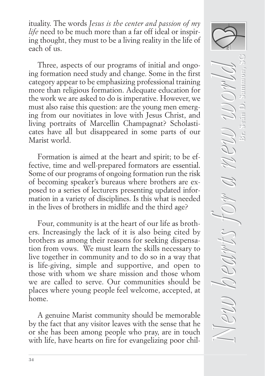ituality. The words *Jesus is the center and passion of my life* need to be much more than a far off ideal or inspiring thought, they must to be a living reality in the life of each of us.

Three, aspects of our programs of initial and ongoing formation need study and change. Some in the first category appear to be emphasizing professional training more than religious formation. Adequate education for the work we are asked to do is imperative. However, we must also raise this question: are the young men emerging from our novitiates in love with Jesus Christ, and living portraits of Marcellin Champagnat? Scholasticates have all but disappeared in some parts of our Marist world.

Formation is aimed at the heart and spirit; to be effective, time and well-prepared formators are essential. Some of our programs of ongoing formation run the risk of becoming speaker's bureaus where brothers are exposed to a series of lecturers presenting updated information in a variety of disciplines. Is this what is needed in the lives of brothers in midlife and the third age?

Four, community is at the heart of our life as brothers. Increasingly the lack of it is also being cited by brothers as among their reasons for seeking dispensation from vows. We must learn the skills necessary to live together in community and to do so in a way that is life-giving, simple and supportive, and open to those with whom we share mission and those whom we are called to serve. Our communities should be places where young people feel welcome, accepted, at home.

A genuine Marist community should be memorable by the fact that any visitor leaves with the sense that he or she has been among people who pray, are in touch with life, have hearts on fire for evangelizing poor chil-

 $N$ eu hearts for a new world *New hearts for a new world* **Br. Seán D. Sammon, SG**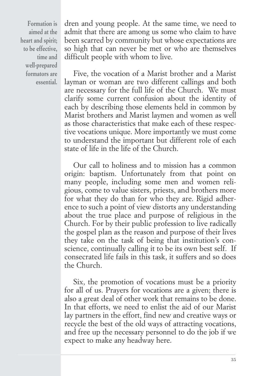**Formation is aimed at the heart and spirit; to be effective, time and well-prepared formators are essential.**  dren and young people. At the same time, we need to admit that there are among us some who claim to have been scarred by community but whose expectations are so high that can never be met or who are themselves difficult people with whom to live.

Five, the vocation of a Marist brother and a Marist layman or woman are two different callings and both are necessary for the full life of the Church. We must clarify some current confusion about the identity of each by describing those elements held in common by Marist brothers and Marist laymen and women as well as those characteristics that make each of these respective vocations unique. More importantly we must come to understand the important but different role of each state of life in the life of the Church.

Our call to holiness and to mission has a common origin: baptism. Unfortunately from that point on many people, including some men and women religious, come to value sisters, priests, and brothers more for what they do than for who they are. Rigid adherence to such a point of view distorts any understanding about the true place and purpose of religious in the Church. For by their public profession to live radically the gospel plan as the reason and purpose of their lives they take on the task of being that institution's conscience, continually calling it to be its own best self. If consecrated life fails in this task, it suffers and so does the Church.

Six, the promotion of vocations must be a priority for all of us. Prayers for vocations are a given; there is also a great deal of other work that remains to be done. In that efforts, we need to enlist the aid of our Marist lay partners in the effort, find new and creative ways or recycle the best of the old ways of attracting vocations, and free up the necessary personnel to do the job if we expect to make any headway here.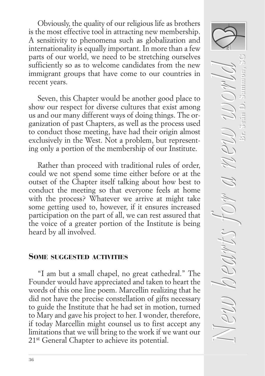Obviously, the quality of our religious life as brothers is the most effective tool in attracting new membership. A sensitivity to phenomena such as globalization and internationality is equally important. In more than a few parts of our world, we need to be stretching ourselves sufficiently so as to welcome candidates from the new immigrant groups that have come to our countries in recent years.

Seven, this Chapter would be another good place to show our respect for diverse cultures that exist among us and our many different ways of doing things. The organization of past Chapters, as well as the process used to conduct those meeting, have had their origin almost exclusively in the West. Not a problem, but representing only a portion of the membership of our Institute.

Rather than proceed with traditional rules of order, could we not spend some time either before or at the outset of the Chapter itself talking about how best to conduct the meeting so that everyone feels at home with the process? Whatever we arrive at might take some getting used to, however, if it ensures increased participation on the part of all, we can rest assured that the voice of a greater portion of the Institute is being heard by all involved.

#### SOME SUGGESTED ACTIVITIES

"I am but a small chapel, no great cathedral." The Founder would have appreciated and taken to heart the words of this one line poem. Marcellin realizing that he did not have the precise constellation of gifts necessary to guide the Institute that he had set in motion, turned to Mary and gave his project to her. I wonder, therefore, if today Marcellin might counsel us to first accept any limitations that we will bring to the work if we want our 21st General Chapter to achieve its potential.

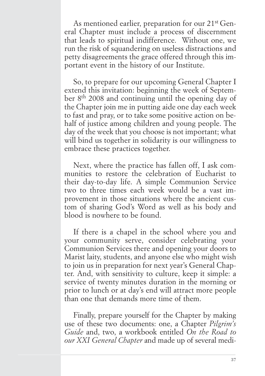As mentioned earlier, preparation for our 21<sup>st</sup> General Chapter must include a process of discernment that leads to spiritual indifference. Without one, we run the risk of squandering on useless distractions and petty disagreements the grace offered through this important event in the history of our Institute.

So, to prepare for our upcoming General Chapter I extend this invitation: beginning the week of September 8th 2008 and continuing until the opening day of the Chapter join me in putting aide one day each week to fast and pray, or to take some positive action on behalf of justice among children and young people. The day of the week that you choose is not important; what will bind us together in solidarity is our willingness to embrace these practices together.

Next, where the practice has fallen off, I ask communities to restore the celebration of Eucharist to their day-to-day life. A simple Communion Service two to three times each week would be a vast improvement in those situations where the ancient custom of sharing God's Word as well as his body and blood is nowhere to be found.

If there is a chapel in the school where you and your community serve, consider celebrating your Communion Services there and opening your doors to Marist laity, students, and anyone else who might wish to join us in preparation for next year's General Chapter. And, with sensitivity to culture, keep it simple: a service of twenty minutes duration in the morning or prior to lunch or at day's end will attract more people than one that demands more time of them.

Finally, prepare yourself for the Chapter by making use of these two documents: one, a Chapter *Pilgrim's Guide* and, two, a workbook entitled *On the Road to our XXI General Chapter* and made up of several medi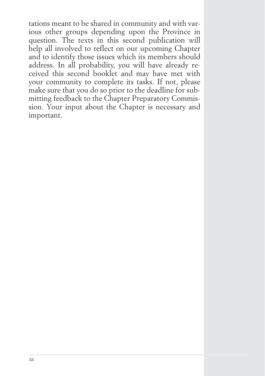tations meant to be shared in community and with various other groups depending upon the Province in question. The texts in this second publication will help all involved to reflect on our upcoming Chapter and to identify those issues which its members should address. In all probability, you will have already received this second booklet and may have met with your community to complete its tasks. If not, please make sure that you do so prior to the deadline for submitting feedback to the Chapter Preparatory Commission. Your input about the Chapter is necessary and important.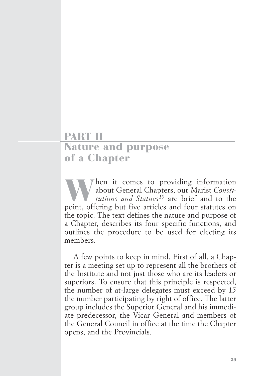# PART II Nature and purpose of a Chapter

When it comes to providing information<br>
about General Chapters, our Marist Consti-<br>
tutions and Statues<sup>10</sup> are brief and to the<br>
point, offering but five articles and four statutes on about General Chapters, our Marist *Constitutions and Statues*<sup>10</sup> are brief and to the the topic. The text defines the nature and purpose of a Chapter, describes its four specific functions, and outlines the procedure to be used for electing its members.

A few points to keep in mind. First of all, a Chapter is a meeting set up to represent all the brothers of the Institute and not just those who are its leaders or superiors. To ensure that this principle is respected, the number of at-large delegates must exceed by 15 the number participating by right of office. The latter group includes the Superior General and his immediate predecessor, the Vicar General and members of the General Council in office at the time the Chapter opens, and the Provincials.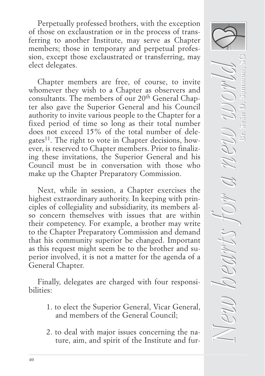Perpetually professed brothers, with the exception of those on exclaustration or in the process of transferring to another Institute, may serve as Chapter members; those in temporary and perpetual profession, except those exclaustrated or transferring, may elect delegates.

Chapter members are free, of course, to invite whomever they wish to a Chapter as observers and consultants. The members of our 20th General Chapter also gave the Superior General and his Council authority to invite various people to the Chapter for a fixed period of time so long as their total number does not exceed 15% of the total number of delegates<sup>11</sup>. The right to vote in Chapter decisions, however, is reserved to Chapter members. Prior to finalizing these invitations, the Superior General and his Council must be in conversation with those who make up the Chapter Preparatory Commission.

Next, while in session, a Chapter exercises the highest extraordinary authority. In keeping with principles of collegiality and subsidiarity, its members also concern themselves with issues that are within their competency. For example, a brother may write to the Chapter Preparatory Commission and demand that his community superior be changed. Important as this request might seem be to the brother and superior involved, it is not a matter for the agenda of a General Chapter.

Finally, delegates are charged with four responsibilities:

- 1. to elect the Superior General, Vicar General, and members of the General Council;
- 2. to deal with major issues concerning the nature, aim, and spirit of the Institute and fur-

 $N$ eu hearts for a new world *New hearts for a new world* **Br. Seán D. Sammon, SG**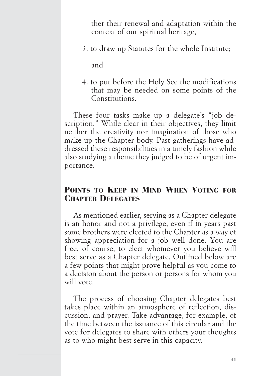ther their renewal and adaptation within the context of our spiritual heritage,

3. to draw up Statutes for the whole Institute;

and

4. to put before the Holy See the modifications that may be needed on some points of the Constitutions.

These four tasks make up a delegate's "job description." While clear in their objectives, they limit neither the creativity nor imagination of those who make up the Chapter body. Past gatherings have addressed these responsibilities in a timely fashion while also studying a theme they judged to be of urgent importance.

# POINTS TO KEEP IN MIND WHEN VOTING FOR CHAPTER DELEGATES

As mentioned earlier, serving as a Chapter delegate is an honor and not a privilege, even if in years past some brothers were elected to the Chapter as a way of showing appreciation for a job well done. You are free, of course, to elect whomever you believe will best serve as a Chapter delegate. Outlined below are a few points that might prove helpful as you come to a decision about the person or persons for whom you will vote.

The process of choosing Chapter delegates best takes place within an atmosphere of reflection, discussion, and prayer. Take advantage, for example, of the time between the issuance of this circular and the vote for delegates to share with others your thoughts as to who might best serve in this capacity.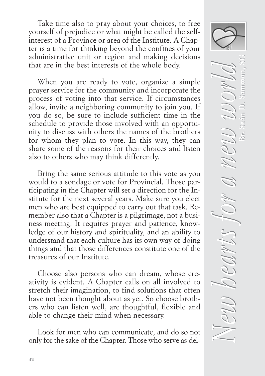Take time also to pray about your choices, to free yourself of prejudice or what might be called the selfinterest of a Province or area of the Institute. A Chapter is a time for thinking beyond the confines of your administrative unit or region and making decisions that are in the best interests of the whole body.

When you are ready to vote, organize a simple prayer service for the community and incorporate the process of voting into that service. If circumstances allow, invite a neighboring community to join you. If you do so, be sure to include sufficient time in the schedule to provide those involved with an opportunity to discuss with others the names of the brothers for whom they plan to vote. In this way, they can share some of the reasons for their choices and listen also to others who may think differently.

Bring the same serious attitude to this vote as you would to a sondage or vote for Provincial. Those participating in the Chapter will set a direction for the Institute for the next several years. Make sure you elect men who are best equipped to carry out that task. Remember also that a Chapter is a pilgrimage, not a business meeting. It requires prayer and patience, knowledge of our history and spirituality, and an ability to understand that each culture has its own way of doing things and that those differences constitute one of the treasures of our Institute.

Choose also persons who can dream, whose creativity is evident. A Chapter calls on all involved to stretch their imagination, to find solutions that often have not been thought about as yet. So choose brothers who can listen well, are thoughtful, flexible and able to change their mind when necessary.

Look for men who can communicate, and do so not only for the sake of the Chapter. Those who serve as del-

 $N$ eu hearts for a new world *New hearts for a new world* **Br. Seán D. Sammon, SG**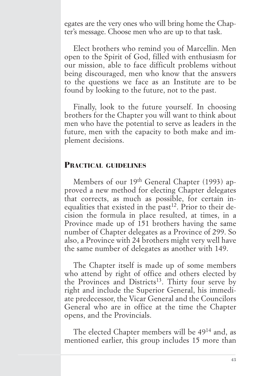egates are the very ones who will bring home the Chapter's message. Choose men who are up to that task.

Elect brothers who remind you of Marcellin. Men open to the Spirit of God, filled with enthusiasm for our mission, able to face difficult problems without being discouraged, men who know that the answers to the questions we face as an Institute are to be found by looking to the future, not to the past.

Finally, look to the future yourself. In choosing brothers for the Chapter you will want to think about men who have the potential to serve as leaders in the future, men with the capacity to both make and implement decisions.

#### PRACTICAL GUIDELINES

Members of our 19<sup>th</sup> General Chapter (1993) approved a new method for electing Chapter delegates that corrects, as much as possible, for certain inequalities that existed in the past<sup>12</sup>. Prior to their decision the formula in place resulted, at times, in a Province made up of 151 brothers having the same number of Chapter delegates as a Province of 299. So also, a Province with 24 brothers might very well have the same number of delegates as another with 149.

The Chapter itself is made up of some members who attend by right of office and others elected by the Provinces and Districts<sup>13</sup>. Thirty four serve by right and include the Superior General, his immediate predecessor, the Vicar General and the Councilors General who are in office at the time the Chapter opens, and the Provincials.

The elected Chapter members will be 4914 and, as mentioned earlier, this group includes 15 more than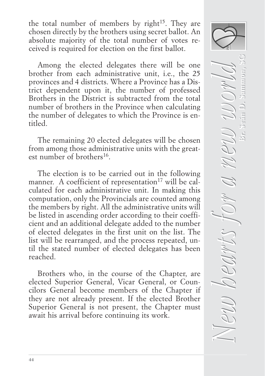the total number of members by right<sup>15</sup>. They are chosen directly by the brothers using secret ballot. An absolute majority of the total number of votes received is required for election on the first ballot.

Among the elected delegates there will be one brother from each administrative unit, i.e., the 25 provinces and 4 districts. Where a Province has a District dependent upon it, the number of professed Brothers in the District is subtracted from the total number of brothers in the Province when calculating the number of delegates to which the Province is entitled.

The remaining 20 elected delegates will be chosen from among those administrative units with the greatest number of brothers<sup>16</sup>.

The election is to be carried out in the following manner. A coefficient of representation<sup>17</sup> will be calculated for each administrative unit. In making this computation, only the Provincials are counted among the members by right. All the administrative units will be listed in ascending order according to their coefficient and an additional delegate added to the number of elected delegates in the first unit on the list. The list will be rearranged, and the process repeated, until the stated number of elected delegates has been reached.

Brothers who, in the course of the Chapter, are elected Superior General, Vicar General, or Councilors General become members of the Chapter if they are not already present. If the elected Brother Superior General is not present, the Chapter must await his arrival before continuing its work.

 $N$ eu hearts for a new world *New hearts for a new world* **Br. Seán D. Sammon, SG**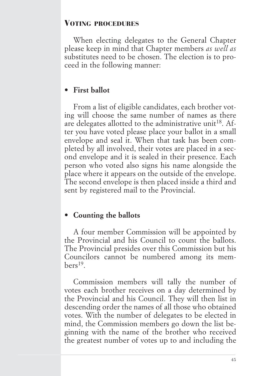# VOTING PROCEDURES

When electing delegates to the General Chapter please keep in mind that Chapter members *as well as* substitutes need to be chosen. The election is to proceed in the following manner:

# **• First ballot**

From a list of eligible candidates, each brother voting will choose the same number of names as there are delegates allotted to the administrative unit<sup>18</sup>. After you have voted please place your ballot in a small envelope and seal it. When that task has been completed by all involved, their votes are placed in a second envelope and it is sealed in their presence. Each person who voted also signs his name alongside the place where it appears on the outside of the envelope. The second envelope is then placed inside a third and sent by registered mail to the Provincial.

# **• Counting the ballots**

A four member Commission will be appointed by the Provincial and his Council to count the ballots. The Provincial presides over this Commission but his Councilors cannot be numbered among its mem $h$ ers<sup>19</sup>

Commission members will tally the number of votes each brother receives on a day determined by the Provincial and his Council. They will then list in descending order the names of all those who obtained votes. With the number of delegates to be elected in mind, the Commission members go down the list beginning with the name of the brother who received the greatest number of votes up to and including the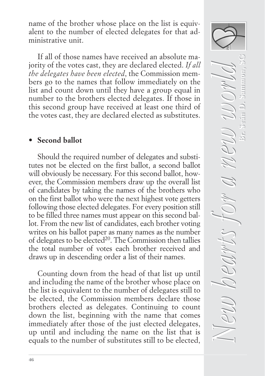name of the brother whose place on the list is equivalent to the number of elected delegates for that administrative unit.

If all of those names have received an absolute majority of the votes cast, they are declared elected. *If all the delegates have been elected*, the Commission members go to the names that follow immediately on the list and count down until they have a group equal in number to the brothers elected delegates. If those in this second group have received at least one third of the votes cast, they are declared elected as substitutes.

# **• Second ballot**

Should the required number of delegates and substitutes not be elected on the first ballot, a second ballot will obviously be necessary. For this second ballot, however, the Commission members draw up the overall list of candidates by taking the names of the brothers who on the first ballot who were the next highest vote getters following those elected delegates. For every position still to be filled three names must appear on this second ballot. From the new list of candidates, each brother voting writes on his ballot paper as many names as the number of delegates to be elected<sup>20</sup>. The Commission then tallies the total number of votes each brother received and draws up in descending order a list of their names.

Counting down from the head of that list up until and including the name of the brother whose place on the list is equivalent to the number of delegates still to be elected, the Commission members declare those brothers elected as delegates. Continuing to count down the list, beginning with the name that comes immediately after those of the just elected delegates, up until and including the name on the list that is equals to the number of substitutes still to be elected,

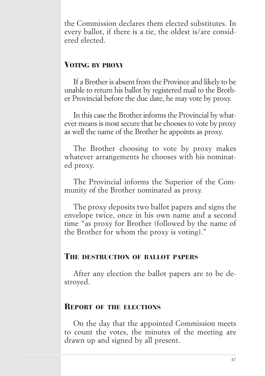the Commission declares them elected substitutes. In every ballot, if there is a tie, the oldest is/are considered elected.

# VOTING BY PROXY

If a Brother is absent from the Province and likely to be unable to return his ballot by registered mail to the Brother Provincial before the due date, he may vote by proxy.

In this case the Brother informs the Provincial by whatever means is most secure that he chooses to vote by proxy as well the name of the Brother he appoints as proxy.

The Brother choosing to vote by proxy makes whatever arrangements he chooses with his nominated proxy.

The Provincial informs the Superior of the Community of the Brother nominated as proxy.

The proxy deposits two ballot papers and signs the envelope twice, once in his own name and a second time "as proxy for Brother (followed by the name of the Brother for whom the proxy is voting)."

## THE DESTRUCTION OF BALLOT PAPERS

After any election the ballot papers are to be destroyed.

#### REPORT OF THE ELECTIONS

On the day that the appointed Commission meets to count the votes, the minutes of the meeting are drawn up and signed by all present.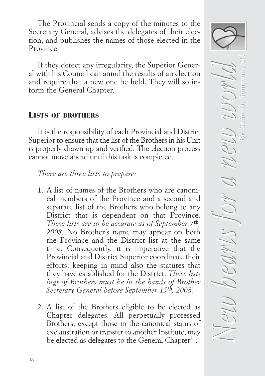The Provincial sends a copy of the minutes to the Secretary General, advises the delegates of their election, and publishes the names of those elected in the Province.

If they detect any irregularity, the Superior General with his Council can annul the results of an election and require that a new one be held. They will so inform the General Chapter.

# LISTS OF BROTHERS

It is the responsibility of each Provincial and District Superior to ensure that the list of the Brothers in his Unit is properly drawn up and verified. The election process cannot move ahead until this task is completed.

*There are three lists to prepare:*

- 1. A list of names of the Brothers who are canonical members of the Province and a second and separate list of the Brothers who belong to any District that is dependent on that Province. *These lists are to be accurate as of September 7*th*, 2008.* No Brother's name may appear on both the Province and the District list at the same time. Consequently, it is imperative that the Provincial and District Superior coordinate their efforts, keeping in mind also the statutes that they have established for the District. *These listings of Brothers must be in the hands of Brother Secretary General before September 15*th*, 2008.*
- 2. A list of the Brothers eligible to be elected as Chapter delegates. All perpetually professed Brothers, except those in the canonical status of exclaustration or transfer to another Institute, may be elected as delegates to the General Chapter<sup>21</sup>.

*New hearts for a new world New hearts for a new world* **Br. Seán D. Sammon, SG Br. Seán D. Sammon, SG**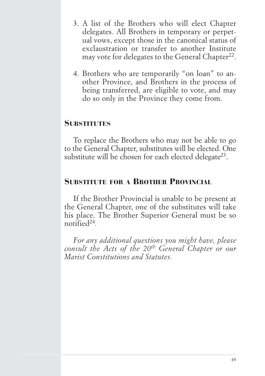- 3. A list of the Brothers who will elect Chapter delegates. All Brothers in temporary or perpetual vows, except those in the canonical status of exclaustration or transfer to another Institute may vote for delegates to the General Chapter<sup>22</sup>.
- 4. Brothers who are temporarily "on loan" to another Province, and Brothers in the process of being transferred, are eligible to vote, and may do so only in the Province they come from.

# **SUBSTITUTES**

To replace the Brothers who may not be able to go to the General Chapter, substitutes will be elected. One substitute will be chosen for each elected delegate<sup>23</sup>.

# SUBSTITUTE FOR A BROTHER PROVINCIAL

If the Brother Provincial is unable to be present at the General Chapter, one of the substitutes will take his place. The Brother Superior General must be so notified24*.* 

*For any additional questions you might have, please consult the Acts of the 20th General Chapter or our Marist Constitutions and Statutes.*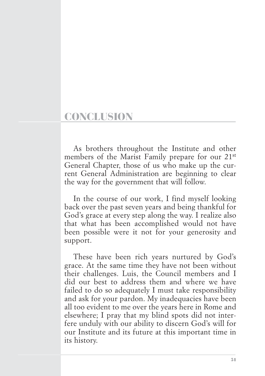# **CONCLUSION**

As brothers throughout the Institute and other members of the Marist Family prepare for our 21<sup>st</sup> General Chapter, those of us who make up the current General Administration are beginning to clear the way for the government that will follow.

In the course of our work, I find myself looking back over the past seven years and being thankful for God's grace at every step along the way. I realize also that what has been accomplished would not have been possible were it not for your generosity and support.

These have been rich years nurtured by God's grace. At the same time they have not been without their challenges. Luis, the Council members and I did our best to address them and where we have failed to do so adequately I must take responsibility and ask for your pardon. My inadequacies have been all too evident to me over the years here in Rome and elsewhere; I pray that my blind spots did not interfere unduly with our ability to discern God's will for our Institute and its future at this important time in its history.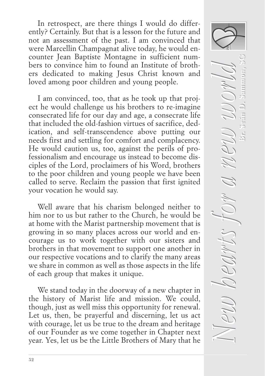In retrospect, are there things I would do differently? Certainly. But that is a lesson for the future and not an assessment of the past. I am convinced that were Marcellin Champagnat alive today, he would encounter Jean Baptiste Montagne in sufficient numbers to convince him to found an Institute of brothers dedicated to making Jesus Christ known and loved among poor children and young people.

I am convinced, too, that as he took up that project he would challenge us his brothers to re-imagine consecrated life for our day and age, a consecrate life that included the old-fashion virtues of sacrifice, dedication, and self-transcendence above putting our needs first and settling for comfort and complacency. He would caution us, too, against the perils of professionalism and encourage us instead to become disciples of the Lord, proclaimers of his Word, brothers to the poor children and young people we have been called to serve. Reclaim the passion that first ignited your vocation he would say.

Well aware that his charism belonged neither to him nor to us but rather to the Church, he would be at home with the Marist partnership movement that is growing in so many places across our world and encourage us to work together with our sisters and brothers in that movement to support one another in our respective vocations and to clarify the many areas we share in common as well as those aspects in the life of each group that makes it unique.

We stand today in the doorway of a new chapter in the history of Marist life and mission. We could, though, just as well miss this opportunity for renewal. Let us, then, be prayerful and discerning, let us act with courage, let us be true to the dream and heritage of our Founder as we come together in Chapter next year. Yes, let us be the Little Brothers of Mary that he

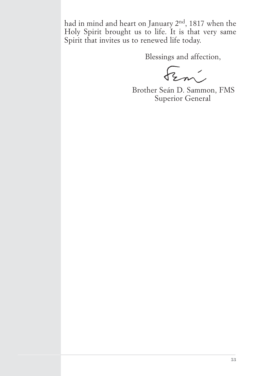had in mind and heart on January 2nd, 1817 when the Holy Spirit brought us to life. It is that very same Spirit that invites us to renewed life today.

Blessings and affection,

Fem

Brother Seán D. Sammon, FMS Superior General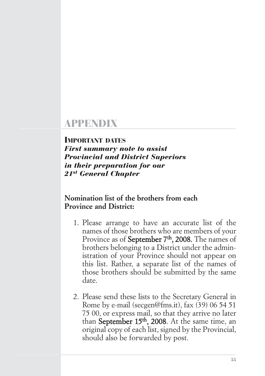# APPENDIX

#### IMPORTANT DATES

*First summary note to assist Provincial and District Superiors in their preparation for our 21st General Chapter*

## **Nomination list of the brothers from each Province and District:**

- 1. Please arrange to have an accurate list of the names of those brothers who are members of your Province as of September 7<sup>th</sup>, 2008. The names of brothers belonging to a District under the administration of your Province should not appear on this list. Rather, a separate list of the names of those brothers should be submitted by the same date.
- 2. Please send these lists to the Secretary General in Rome by e-mail (secgen@fms.it), fax (39) 06 54 51 75 00, or express mail, so that they arrive no later than September 15<sup>th</sup>, 2008. At the same time, an original copy of each list, signed by the Provincial, should also be forwarded by post.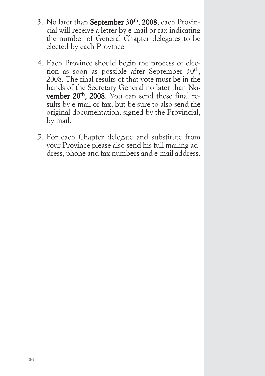- 3. No later than September 30th, 2008, each Provincial will receive a letter by e-mail or fax indicating the number of General Chapter delegates to be elected by each Province.
- 4. Each Province should begin the process of election as soon as possible after September 30<sup>th</sup>, 2008. The final results of that vote must be in the hands of the Secretary General no later than November 20<sup>th</sup>, 2008. You can send these final results by e-mail or fax, but be sure to also send the original documentation, signed by the Provincial, by mail.
- 5. For each Chapter delegate and substitute from your Province please also send his full mailing address, phone and fax numbers and e-mail address.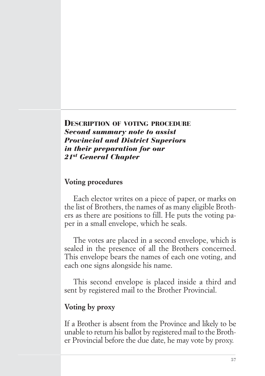DESCRIPTION OF VOTING PROCEDURE *Second summary note to assist Provincial and District Superiors in their preparation for our 21st General Chapter*

#### **Voting procedures**

Each elector writes on a piece of paper, or marks on the list of Brothers, the names of as many eligible Brothers as there are positions to fill. He puts the voting paper in a small envelope, which he seals.

The votes are placed in a second envelope, which is sealed in the presence of all the Brothers concerned. This envelope bears the names of each one voting, and each one signs alongside his name.

This second envelope is placed inside a third and sent by registered mail to the Brother Provincial.

## **Voting by proxy**

If a Brother is absent from the Province and likely to be unable to return his ballot by registered mail to the Brother Provincial before the due date, he may vote by proxy.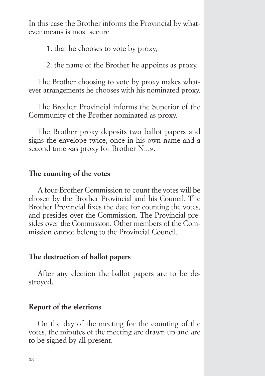In this case the Brother informs the Provincial by whatever means is most secure

1. that he chooses to vote by proxy,

2. the name of the Brother he appoints as proxy.

The Brother choosing to vote by proxy makes whatever arrangements he chooses with his nominated proxy.

The Brother Provincial informs the Superior of the Community of the Brother nominated as proxy.

The Brother proxy deposits two ballot papers and signs the envelope twice, once in his own name and a second time «as proxy for Brother N...».

### **The counting of the votes**

A four-Brother Commission to count the votes will be chosen by the Brother Provincial and his Council. The Brother Provincial fixes the date for counting the votes, and presides over the Commission. The Provincial presides over the Commission. Other members of the Commission cannot belong to the Provincial Council.

#### **The destruction of ballot papers**

After any election the ballot papers are to be destroyed.

#### **Report of the elections**

On the day of the meeting for the counting of the votes, the minutes of the meeting are drawn up and are to be signed by all present.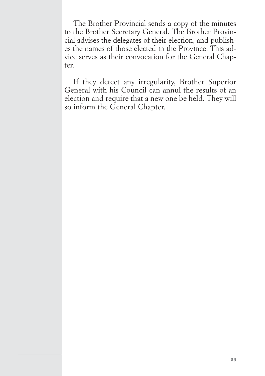The Brother Provincial sends a copy of the minutes to the Brother Secretary General. The Brother Provincial advises the delegates of their election, and publishes the names of those elected in the Province. This advice serves as their convocation for the General Chapter.

If they detect any irregularity, Brother Superior General with his Council can annul the results of an election and require that a new one be held. They will so inform the General Chapter.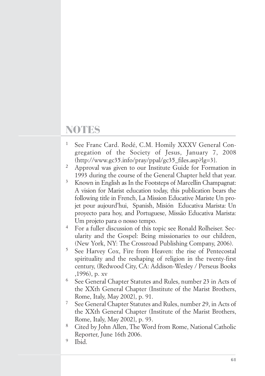# NOTES

- <sup>1</sup> See Franc Card. Rodé, C.M. Homily XXXV General Congregation of the Society of Jesus, January 7, 2008  $(\text{http://www.gc35.info/pray/ppal/gc35 files.asp?lg=3}).$
- <sup>2</sup> Approval was given to our Institute Guide for Formation in 1993 during the course of the General Chapter held that year.
- <sup>3</sup> Known in English as In the Footsteps of Marcellin Champagnat: A vision for Marist education today, this publication bears the following title in French, La Mission Educative Mariste Un projet pour aujourd'hui, Spanish, Misión Educativa Marista: Un proyecto para hoy, and Portuguese, Missão Educativa Marista: Um projeto para o nosso tempo.
- <sup>4</sup> For a fuller discussion of this topic see Ronald Rolheiser. Secularity and the Gospel: Being missionaries to our children, (New York, NY: The Crossroad Publishing Company, 2006).
- <sup>5</sup> See Harvey Cox, Fire from Heaven: the rise of Pentecostal spirituality and the reshaping of religion in the twenty-first century, (Redwood City, CA: Addison-Wesley / Perseus Books ,1996), p. xv
- <sup>6</sup> See General Chapter Statutes and Rules, number 23 in Acts of the XXth General Chapter (Institute of the Marist Brothers, Rome, Italy, May 2002}, p. 91.
- <sup>7</sup> See General Chapter Statutes and Rules, number 29, in Acts of the XXth General Chapter (Institute of the Marist Brothers, Rome, Italy, May 2002}, p. 93.
- <sup>8</sup> Cited by John Allen, The Word from Rome, National Catholic Reporter, June 16th 2006.
- <sup>9</sup> Ibid.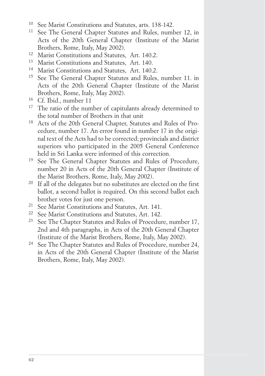- <sup>10</sup> See Marist Constitutions and Statutes, arts. 138-142.
- <sup>11</sup> See The General Chapter Statutes and Rules, number 12, in Acts of the 20th General Chapter (Institute of the Marist Brothers, Rome, Italy, May 2002).
- <sup>12</sup> Marist Constitutions and Statutes, Art. 140.2.
- <sup>13</sup> Marist Constitutions and Statutes, Art. 140.
- <sup>14</sup> Marist Constitutions and Statutes, Art. 140.2.
- <sup>15</sup> See The General Chapter Statutes and Rules, number 11. in Acts of the 20th General Chapter (Institute of the Marist Brothers, Rome, Italy, May 2002).
- <sup>16</sup> Cf. Ibid., number 11
- <sup>17</sup> The ratio of the number of capitulants already determined to the total number of Brothers in that unit
- <sup>18</sup> Acts of the 20th General Chapter, Statutes and Rules of Procedure, number 17. An error found in number 17 in the original text of the Acts had to be corrected; provincials and district superiors who participated in the 2005 General Conference held in Sri Lanka were informed of this correction.
- <sup>19</sup> See The General Chapter Statutes and Rules of Procedure, number 20 in Acts of the 20th General Chapter (Institute of the Marist Brothers, Rome, Italy, May 2002).
- <sup>20</sup> If all of the delegates but no substitutes are elected on the first ballot, a second ballot is required. On this second ballot each brother votes for just one person.
- <sup>21</sup> See Marist Constitutions and Statutes, Art. 141.
- <sup>22</sup> See Marist Constitutions and Statutes, Art. 142.
- <sup>23</sup> See The Chapter Statutes and Rules of Procedure, number 17, 2nd and 4th paragraphs, in Acts of the 20th General Chapter (Institute of the Marist Brothers, Rome, Italy, May 2002).
- <sup>24</sup> See The Chapter Statutes and Rules of Procedure, number 24, in Acts of the 20th General Chapter (Institute of the Marist Brothers, Rome, Italy, May 2002).